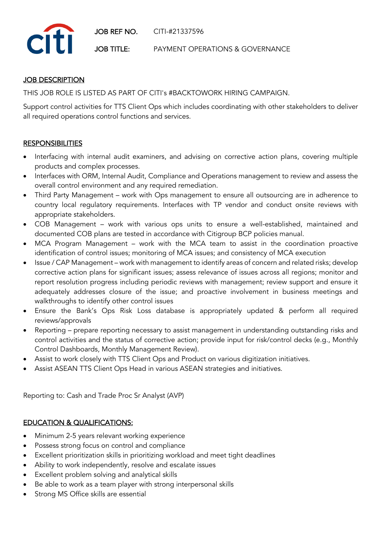

## **JOB DESCRIPTION**

THIS JOB ROLE IS LISTED AS PART OF CITI's #BACKTOWORK HIRING CAMPAIGN.

Support control activities for TTS Client Ops which includes coordinating with other stakeholders to deliver all required operations control functions and services.

## **RESPONSIBILITIES**

- Interfacing with internal audit examiners, and advising on corrective action plans, covering multiple products and complex processes.
- Interfaces with ORM, Internal Audit, Compliance and Operations management to review and assess the overall control environment and any required remediation.
- Third Party Management work with Ops management to ensure all outsourcing are in adherence to country local regulatory requirements. Interfaces with TP vendor and conduct onsite reviews with appropriate stakeholders.
- COB Management work with various ops units to ensure a well-established, maintained and documented COB plans are tested in accordance with Citigroup BCP policies manual.
- MCA Program Management work with the MCA team to assist in the coordination proactive identification of control issues; monitoring of MCA issues; and consistency of MCA execution
- Issue / CAP Management work with management to identify areas of concern and related risks; develop corrective action plans for significant issues; assess relevance of issues across all regions; monitor and report resolution progress including periodic reviews with management; review support and ensure it adequately addresses closure of the issue; and proactive involvement in business meetings and walkthroughs to identify other control issues
- Ensure the Bank's Ops Risk Loss database is appropriately updated & perform all required reviews/approvals
- Reporting prepare reporting necessary to assist management in understanding outstanding risks and control activities and the status of corrective action; provide input for risk/control decks (e.g., Monthly Control Dashboards, Monthly Management Review).
- Assist to work closely with TTS Client Ops and Product on various digitization initiatives.
- Assist ASEAN TTS Client Ops Head in various ASEAN strategies and initiatives.

Reporting to: Cash and Trade Proc Sr Analyst (AVP)

## EDUCATION & QUALIFICATIONS:

- Minimum 2-5 years relevant working experience
- Possess strong focus on control and compliance
- Excellent prioritization skills in prioritizing workload and meet tight deadlines
- Ability to work independently, resolve and escalate issues
- Excellent problem solving and analytical skills
- Be able to work as a team player with strong interpersonal skills
- Strong MS Office skills are essential